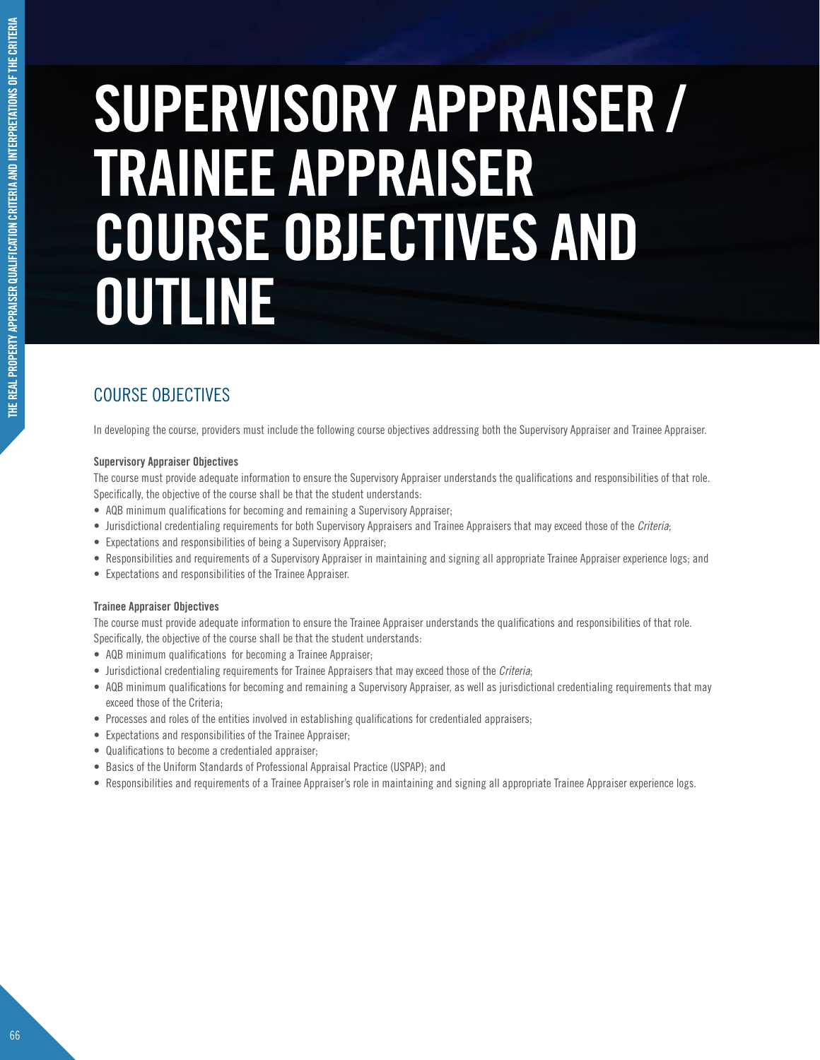# **THE REAL PROPERTY APPRAISER QUALIFICATION CRITERIA AND INTERPRETATIONS OF THE CRITERIA** THE REAL PROPERTY APPRAISER QUALIFICATION CRITERIA AND INTERPRETATIONS OF THE CRITERIA

# **SUPERVISORY APPRAISER / TRAINEE APPRAISER COURSE OBJECTIVES AND OUTLINE**

# COURSE OBJECTIVES

In developing the course, providers must include the following course objectives addressing both the Supervisory Appraiser and Trainee Appraiser.

### **Supervisory Appraiser Objectives**

The course must provide adequate information to ensure the Supervisory Appraiser understands the qualifications and responsibilities of that role. Specifically, the objective of the course shall be that the student understands:

- AQB minimum qualifications for becoming and remaining a Supervisory Appraiser;
- Jurisdictional credentialing requirements for both Supervisory Appraisers and Trainee Appraisers that may exceed those of the Criteria;
- Expectations and responsibilities of being a Supervisory Appraiser;
- Responsibilities and requirements of a Supervisory Appraiser in maintaining and signing all appropriate Trainee Appraiser experience logs; and
- Expectations and responsibilities of the Trainee Appraiser.

### **Trainee Appraiser Objectives**

The course must provide adequate information to ensure the Trainee Appraiser understands the qualifications and responsibilities of that role. Specifically, the objective of the course shall be that the student understands:

- AQB minimum qualifications for becoming a Trainee Appraiser;
- Jurisdictional credentialing requirements for Trainee Appraisers that may exceed those of the Criteria;
- AQB minimum qualifications for becoming and remaining a Supervisory Appraiser, as well as jurisdictional credentialing requirements that may exceed those of the Criteria;
- Processes and roles of the entities involved in establishing qualifications for credentialed appraisers;
- Expectations and responsibilities of the Trainee Appraiser;
- Qualifications to become a credentialed appraiser;
- Basics of the Uniform Standards of Professional Appraisal Practice (USPAP); and
- Responsibilities and requirements of a Trainee Appraiser's role in maintaining and signing all appropriate Trainee Appraiser experience logs.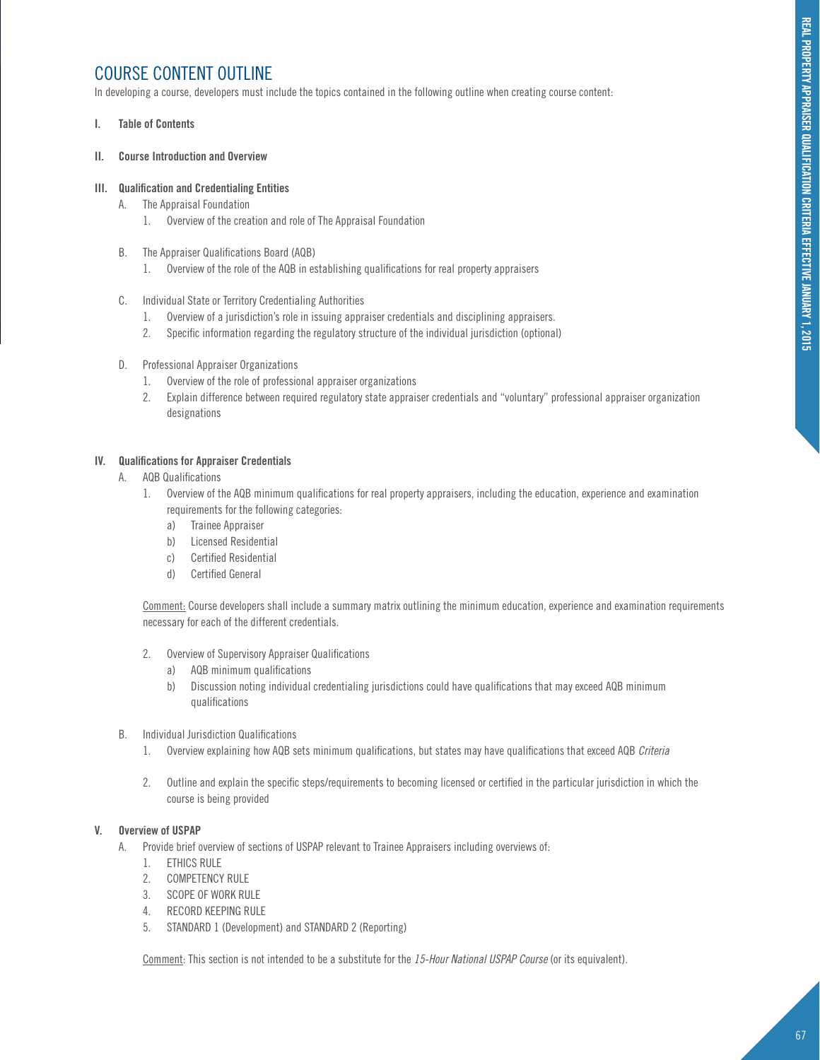## COURSE CONTENT OUTLINE

In developing a course, developers must include the topics contained in the following outline when creating course content:

### **I. Table of Contents**

### **II. Course Introduction and Overview**

### **III. Qualification and Credentialing Entities**

- A. The Appraisal Foundation
	- 1. Overview of the creation and role of The Appraisal Foundation
- B. The Appraiser Qualifications Board (AQB)
	- 1. Overview of the role of the AQB in establishing qualifications for real property appraisers
- C. Individual State or Territory Credentialing Authorities
	- 1. Overview of a jurisdiction's role in issuing appraiser credentials and disciplining appraisers.
	- 2. Specific information regarding the regulatory structure of the individual jurisdiction (optional)
- D. Professional Appraiser Organizations
	- 1. Overview of the role of professional appraiser organizations
	- 2. Explain difference between required regulatory state appraiser credentials and "voluntary" professional appraiser organization designations

### **IV. Qualifications for Appraiser Credentials**

- A. AQB Qualifications
	- 1. Overview of the AQB minimum qualifications for real property appraisers, including the education, experience and examination requirements for the following categories:
		- a) Trainee Appraiser
		- b) Licensed Residential
		- c) Certified Residential
		- d) Certified General

Comment: Course developers shall include a summary matrix outlining the minimum education, experience and examination requirements necessary for each of the different credentials.

- 2. Overview of Supervisory Appraiser Qualifications
	- a) AQB minimum qualifications
	- b) Discussion noting individual credentialing jurisdictions could have qualifications that may exceed AQB minimum qualifications
- B. Individual Jurisdiction Qualifications
	- 1. Overview explaining how AQB sets minimum qualifications, but states may have qualifications that exceed AQB Criteria
	- 2. Outline and explain the specific steps/requirements to becoming licensed or certified in the particular jurisdiction in which the course is being provided

### **V. Overview of USPAP**

- A. Provide brief overview of sections of USPAP relevant to Trainee Appraisers including overviews of:
	- 1. ETHICS RULE
	- 2. COMPETENCY RULE
	- 3. SCOPE OF WORK RULE
	- 4. RECORD KEEPING RULE
	- 5. STANDARD 1 (Development) and STANDARD 2 (Reporting)

Comment: This section is not intended to be a substitute for the 15-Hour National USPAP Course (or its equivalent).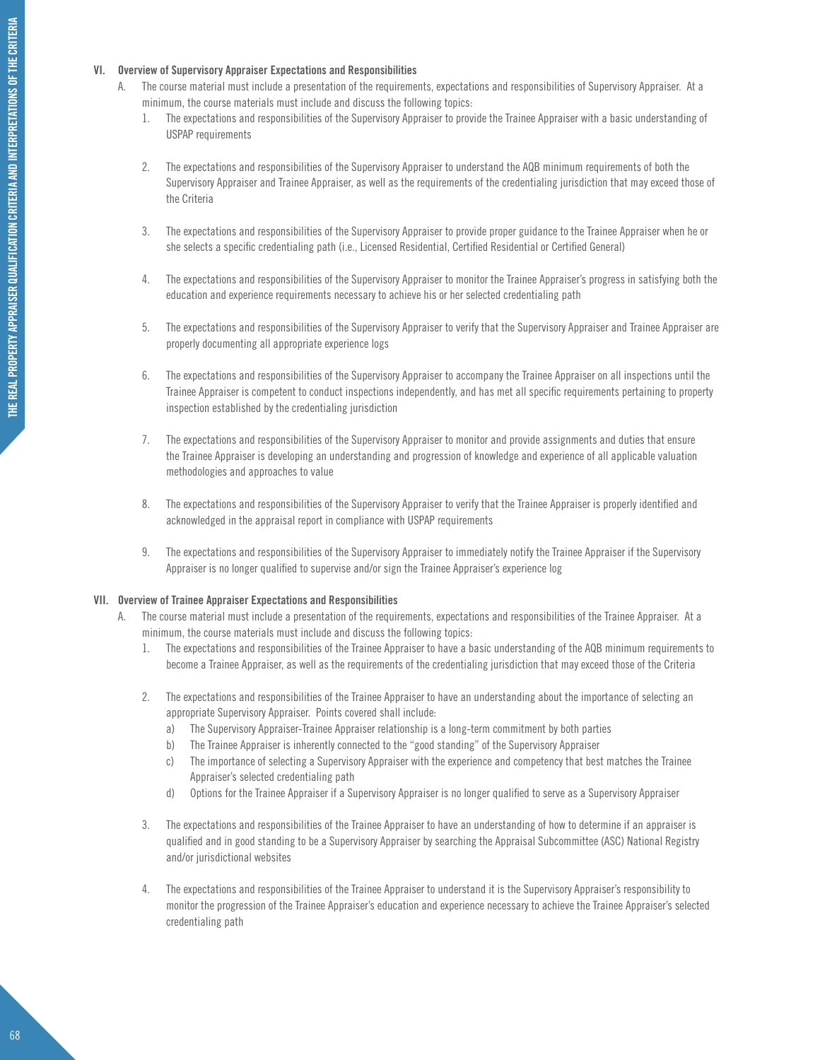### **VI. Overview of Supervisory Appraiser Expectations and Responsibilities**

- A. The course material must include a presentation of the requirements, expectations and responsibilities of Supervisory Appraiser. At a minimum, the course materials must include and discuss the following topics:
	- 1. The expectations and responsibilities of the Supervisory Appraiser to provide the Trainee Appraiser with a basic understanding of USPAP requirements
	- 2. The expectations and responsibilities of the Supervisory Appraiser to understand the AQB minimum requirements of both the Supervisory Appraiser and Trainee Appraiser, as well as the requirements of the credentialing jurisdiction that may exceed those of the Criteria
	- 3. The expectations and responsibilities of the Supervisory Appraiser to provide proper guidance to the Trainee Appraiser when he or she selects a specific credentialing path (i.e., Licensed Residential, Certified Residential or Certified General)
	- 4. The expectations and responsibilities of the Supervisory Appraiser to monitor the Trainee Appraiser's progress in satisfying both the education and experience requirements necessary to achieve his or her selected credentialing path
	- 5. The expectations and responsibilities of the Supervisory Appraiser to verify that the Supervisory Appraiser and Trainee Appraiser are properly documenting all appropriate experience logs
	- 6. The expectations and responsibilities of the Supervisory Appraiser to accompany the Trainee Appraiser on all inspections until the Trainee Appraiser is competent to conduct inspections independently, and has met all specific requirements pertaining to property inspection established by the credentialing jurisdiction
	- 7. The expectations and responsibilities of the Supervisory Appraiser to monitor and provide assignments and duties that ensure the Trainee Appraiser is developing an understanding and progression of knowledge and experience of all applicable valuation methodologies and approaches to value
	- 8. The expectations and responsibilities of the Supervisory Appraiser to verify that the Trainee Appraiser is properly identified and acknowledged in the appraisal report in compliance with USPAP requirements
	- 9. The expectations and responsibilities of the Supervisory Appraiser to immediately notify the Trainee Appraiser if the Supervisory Appraiser is no longer qualified to supervise and/or sign the Trainee Appraiser's experience log

### **VII. Overview of Trainee Appraiser Expectations and Responsibilities**

- A. The course material must include a presentation of the requirements, expectations and responsibilities of the Trainee Appraiser. At a minimum, the course materials must include and discuss the following topics:
	- 1. The expectations and responsibilities of the Trainee Appraiser to have a basic understanding of the AQB minimum requirements to become a Trainee Appraiser, as well as the requirements of the credentialing jurisdiction that may exceed those of the Criteria
	- 2. The expectations and responsibilities of the Trainee Appraiser to have an understanding about the importance of selecting an appropriate Supervisory Appraiser. Points covered shall include:
		- a) The Supervisory Appraiser-Trainee Appraiser relationship is a long-term commitment by both parties
		- b) The Trainee Appraiser is inherently connected to the "good standing" of the Supervisory Appraiser
		- c) The importance of selecting a Supervisory Appraiser with the experience and competency that best matches the Trainee Appraiser's selected credentialing path
		- d) Options for the Trainee Appraiser if a Supervisory Appraiser is no longer qualified to serve as a Supervisory Appraiser
	- 3. The expectations and responsibilities of the Trainee Appraiser to have an understanding of how to determine if an appraiser is qualified and in good standing to be a Supervisory Appraiser by searching the Appraisal Subcommittee (ASC) National Registry and/or jurisdictional websites
	- 4. The expectations and responsibilities of the Trainee Appraiser to understand it is the Supervisory Appraiser's responsibility to monitor the progression of the Trainee Appraiser's education and experience necessary to achieve the Trainee Appraiser's selected credentialing path